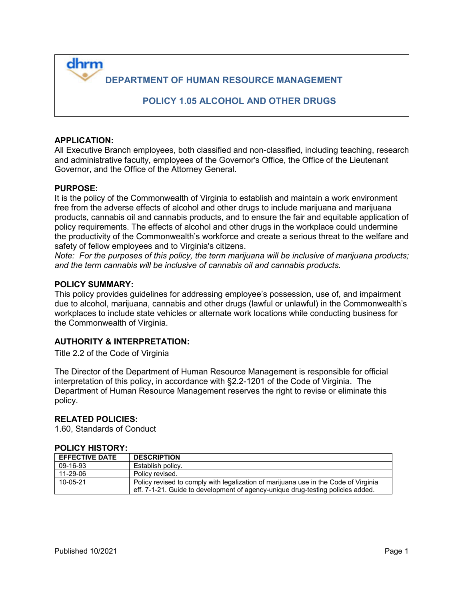**DEPARTMENT OF HUMAN RESOURCE MANAGEMENT** 

 **POLICY 1.05 ALCOHOL AND OTHER DRUGS**

### **APPLICATION:**

dhrm

All Executive Branch employees, both classified and non-classified, including teaching, research and administrative faculty, employees of the Governor's Office, the Office of the Lieutenant Governor, and the Office of the Attorney General.

### **PURPOSE:**

It is the policy of the Commonwealth of Virginia to establish and maintain a work environment free from the adverse effects of alcohol and other drugs to include marijuana and marijuana products, cannabis oil and cannabis products, and to ensure the fair and equitable application of policy requirements. The effects of alcohol and other drugs in the workplace could undermine the productivity of the Commonwealth's workforce and create a serious threat to the welfare and safety of fellow employees and to Virginia's citizens.

*Note: For the purposes of this policy, the term marijuana will be inclusive of marijuana products; and the term cannabis will be inclusive of cannabis oil and cannabis products.*

#### **POLICY SUMMARY:**

This policy provides guidelines for addressing employee's possession, use of, and impairment due to alcohol, marijuana, cannabis and other drugs (lawful or unlawful) in the Commonwealth's workplaces to include state vehicles or alternate work locations while conducting business for the Commonwealth of Virginia.

### **AUTHORITY & INTERPRETATION:**

Title 2.2 of the Code of Virginia

The Director of the Department of Human Resource Management is responsible for official interpretation of this policy, in accordance with §2.2-1201 of the Code of Virginia. The Department of Human Resource Management reserves the right to revise or eliminate this policy.

### **RELATED POLICIES:**

1.60, Standards of Conduct

### **POLICY HISTORY:**

| <b>EFFECTIVE DATE</b> | <b>DESCRIPTION</b>                                                                                                                                                     |
|-----------------------|------------------------------------------------------------------------------------------------------------------------------------------------------------------------|
| 09-16-93              | Establish policy.                                                                                                                                                      |
| 11-29-06              | Policy revised.                                                                                                                                                        |
| 10-05-21              | Policy revised to comply with legalization of marijuana use in the Code of Virginia<br>eff. 7-1-21. Guide to development of agency-unique drug-testing policies added. |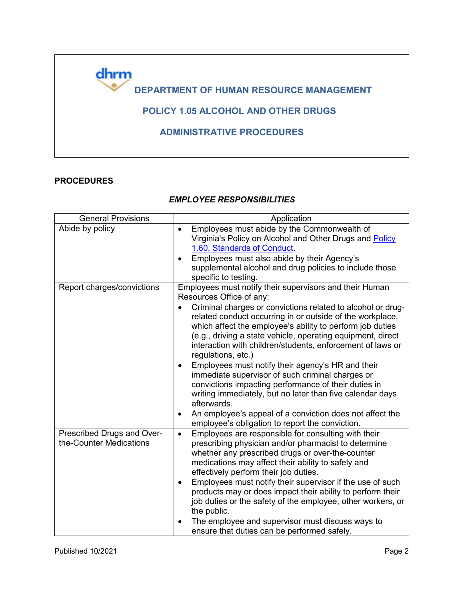

## **PROCEDURES**

### *EMPLOYEE RESPONSIBILITIES*

<span id="page-1-0"></span>

| <b>General Provisions</b>                             | Application                                                                                                                                                                                                                                                                                                                                                                                                                                                                                                                                                                                                                                                                                                                                                                                                           |
|-------------------------------------------------------|-----------------------------------------------------------------------------------------------------------------------------------------------------------------------------------------------------------------------------------------------------------------------------------------------------------------------------------------------------------------------------------------------------------------------------------------------------------------------------------------------------------------------------------------------------------------------------------------------------------------------------------------------------------------------------------------------------------------------------------------------------------------------------------------------------------------------|
| Abide by policy                                       | Employees must abide by the Commonwealth of<br>$\bullet$<br>Virginia's Policy on Alcohol and Other Drugs and Policy<br>1.60, Standards of Conduct.<br>Employees must also abide by their Agency's<br>$\bullet$<br>supplemental alcohol and drug policies to include those<br>specific to testing.                                                                                                                                                                                                                                                                                                                                                                                                                                                                                                                     |
| Report charges/convictions                            | Employees must notify their supervisors and their Human<br>Resources Office of any:<br>Criminal charges or convictions related to alcohol or drug-<br>related conduct occurring in or outside of the workplace,<br>which affect the employee's ability to perform job duties<br>(e.g., driving a state vehicle, operating equipment, direct<br>interaction with children/students, enforcement of laws or<br>regulations, etc.)<br>Employees must notify their agency's HR and their<br>$\bullet$<br>immediate supervisor of such criminal charges or<br>convictions impacting performance of their duties in<br>writing immediately, but no later than five calendar days<br>afterwards.<br>An employee's appeal of a conviction does not affect the<br>$\bullet$<br>employee's obligation to report the conviction. |
| Prescribed Drugs and Over-<br>the-Counter Medications | Employees are responsible for consulting with their<br>$\bullet$<br>prescribing physician and/or pharmacist to determine<br>whether any prescribed drugs or over-the-counter<br>medications may affect their ability to safely and<br>effectively perform their job duties.<br>Employees must notify their supervisor if the use of such<br>$\bullet$<br>products may or does impact their ability to perform their<br>job duties or the safety of the employee, other workers, or<br>the public.<br>The employee and supervisor must discuss ways to<br>ensure that duties can be performed safely.                                                                                                                                                                                                                  |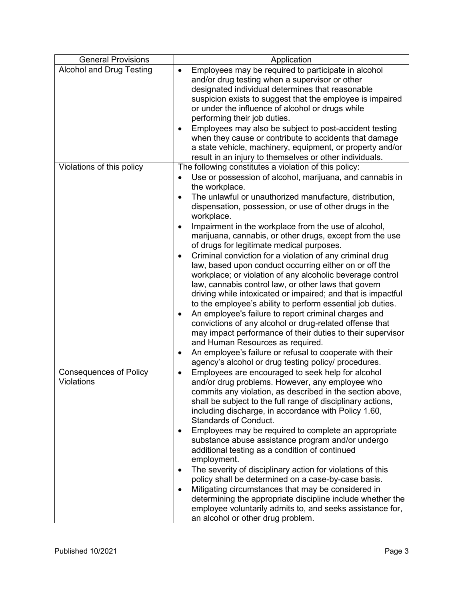| <b>General Provisions</b>                   | Application                                                                                                                                                                                                                                                                                                                                                                                                                                                                                                                                                                                                                                                                                                                                                                                                                                                                                                                                                                                                                                                                                                                                                                                                                             |
|---------------------------------------------|-----------------------------------------------------------------------------------------------------------------------------------------------------------------------------------------------------------------------------------------------------------------------------------------------------------------------------------------------------------------------------------------------------------------------------------------------------------------------------------------------------------------------------------------------------------------------------------------------------------------------------------------------------------------------------------------------------------------------------------------------------------------------------------------------------------------------------------------------------------------------------------------------------------------------------------------------------------------------------------------------------------------------------------------------------------------------------------------------------------------------------------------------------------------------------------------------------------------------------------------|
| <b>Alcohol and Drug Testing</b>             | Employees may be required to participate in alcohol<br>$\bullet$<br>and/or drug testing when a supervisor or other<br>designated individual determines that reasonable<br>suspicion exists to suggest that the employee is impaired<br>or under the influence of alcohol or drugs while<br>performing their job duties.<br>Employees may also be subject to post-accident testing<br>$\bullet$<br>when they cause or contribute to accidents that damage<br>a state vehicle, machinery, equipment, or property and/or<br>result in an injury to themselves or other individuals.                                                                                                                                                                                                                                                                                                                                                                                                                                                                                                                                                                                                                                                        |
| Violations of this policy                   | The following constitutes a violation of this policy:<br>Use or possession of alcohol, marijuana, and cannabis in<br>$\bullet$<br>the workplace.<br>The unlawful or unauthorized manufacture, distribution,<br>$\bullet$<br>dispensation, possession, or use of other drugs in the<br>workplace.<br>Impairment in the workplace from the use of alcohol,<br>$\bullet$<br>marijuana, cannabis, or other drugs, except from the use<br>of drugs for legitimate medical purposes.<br>Criminal conviction for a violation of any criminal drug<br>$\bullet$<br>law, based upon conduct occurring either on or off the<br>workplace; or violation of any alcoholic beverage control<br>law, cannabis control law, or other laws that govern<br>driving while intoxicated or impaired; and that is impactful<br>to the employee's ability to perform essential job duties.<br>An employee's failure to report criminal charges and<br>$\bullet$<br>convictions of any alcohol or drug-related offense that<br>may impact performance of their duties to their supervisor<br>and Human Resources as required.<br>An employee's failure or refusal to cooperate with their<br>$\bullet$<br>agency's alcohol or drug testing policy/ procedures. |
| <b>Consequences of Policy</b><br>Violations | Employees are encouraged to seek help for alcohol<br>$\bullet$<br>and/or drug problems. However, any employee who<br>commits any violation, as described in the section above,<br>shall be subject to the full range of disciplinary actions,<br>including discharge, in accordance with Policy 1.60,<br><b>Standards of Conduct.</b><br>Employees may be required to complete an appropriate<br>٠<br>substance abuse assistance program and/or undergo<br>additional testing as a condition of continued<br>employment.<br>The severity of disciplinary action for violations of this<br>$\bullet$<br>policy shall be determined on a case-by-case basis.<br>Mitigating circumstances that may be considered in<br>determining the appropriate discipline include whether the<br>employee voluntarily admits to, and seeks assistance for,<br>an alcohol or other drug problem.                                                                                                                                                                                                                                                                                                                                                        |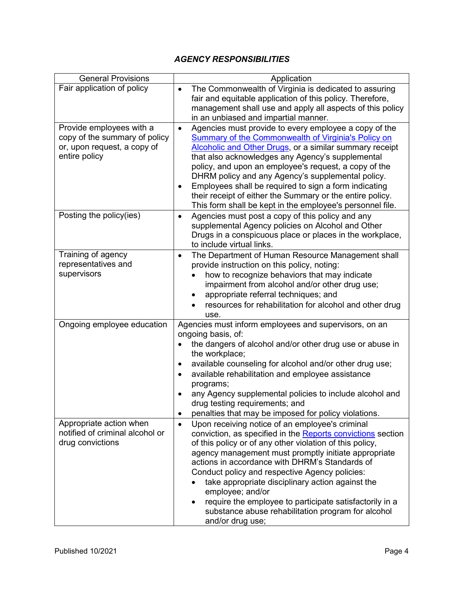# *AGENCY RESPONSIBILITIES*

| <b>General Provisions</b>                                                                                 | Application                                                                                                                                                                                                                                                                                                                                                                                                                                                                                                                                                                   |
|-----------------------------------------------------------------------------------------------------------|-------------------------------------------------------------------------------------------------------------------------------------------------------------------------------------------------------------------------------------------------------------------------------------------------------------------------------------------------------------------------------------------------------------------------------------------------------------------------------------------------------------------------------------------------------------------------------|
| Fair application of policy                                                                                | The Commonwealth of Virginia is dedicated to assuring<br>$\bullet$<br>fair and equitable application of this policy. Therefore,<br>management shall use and apply all aspects of this policy<br>in an unbiased and impartial manner.                                                                                                                                                                                                                                                                                                                                          |
| Provide employees with a<br>copy of the summary of policy<br>or, upon request, a copy of<br>entire policy | Agencies must provide to every employee a copy of the<br>$\bullet$<br>Summary of the Commonwealth of Virginia's Policy on<br>Alcoholic and Other Drugs, or a similar summary receipt<br>that also acknowledges any Agency's supplemental<br>policy, and upon an employee's request, a copy of the<br>DHRM policy and any Agency's supplemental policy.<br>Employees shall be required to sign a form indicating<br>$\bullet$<br>their receipt of either the Summary or the entire policy.<br>This form shall be kept in the employee's personnel file.                        |
| Posting the policy(ies)                                                                                   | Agencies must post a copy of this policy and any<br>$\bullet$<br>supplemental Agency policies on Alcohol and Other<br>Drugs in a conspicuous place or places in the workplace,<br>to include virtual links.                                                                                                                                                                                                                                                                                                                                                                   |
| Training of agency<br>representatives and<br>supervisors                                                  | The Department of Human Resource Management shall<br>$\bullet$<br>provide instruction on this policy, noting:<br>how to recognize behaviors that may indicate<br>impairment from alcohol and/or other drug use;<br>appropriate referral techniques; and<br>resources for rehabilitation for alcohol and other drug<br>use.                                                                                                                                                                                                                                                    |
| Ongoing employee education                                                                                | Agencies must inform employees and supervisors, on an<br>ongoing basis, of:<br>the dangers of alcohol and/or other drug use or abuse in<br>the workplace;<br>available counseling for alcohol and/or other drug use;<br>available rehabilitation and employee assistance<br>programs;<br>any Agency supplemental policies to include alcohol and<br>drug testing requirements; and<br>penalties that may be imposed for policy violations.                                                                                                                                    |
| Appropriate action when<br>notified of criminal alcohol or<br>drug convictions                            | Upon receiving notice of an employee's criminal<br>$\bullet$<br>conviction, as specified in the Reports convictions section<br>of this policy or of any other violation of this policy,<br>agency management must promptly initiate appropriate<br>actions in accordance with DHRM's Standards of<br>Conduct policy and respective Agency policies:<br>take appropriate disciplinary action against the<br>employee; and/or<br>require the employee to participate satisfactorily in a<br>$\bullet$<br>substance abuse rehabilitation program for alcohol<br>and/or drug use; |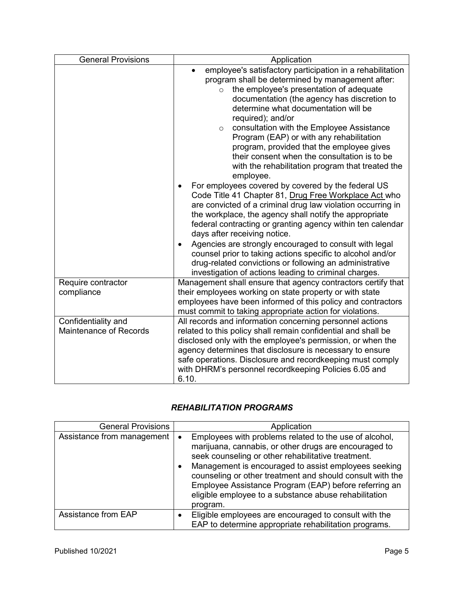| <b>General Provisions</b>                            | Application                                                                                                                                                                                                                                                                                                                                                                                                                                                                                                                                                                                                          |
|------------------------------------------------------|----------------------------------------------------------------------------------------------------------------------------------------------------------------------------------------------------------------------------------------------------------------------------------------------------------------------------------------------------------------------------------------------------------------------------------------------------------------------------------------------------------------------------------------------------------------------------------------------------------------------|
|                                                      | employee's satisfactory participation in a rehabilitation<br>program shall be determined by management after:<br>the employee's presentation of adequate<br>$\circ$<br>documentation (the agency has discretion to<br>determine what documentation will be<br>required); and/or<br>consultation with the Employee Assistance<br>$\circ$<br>Program (EAP) or with any rehabilitation<br>program, provided that the employee gives<br>their consent when the consultation is to be<br>with the rehabilitation program that treated the<br>employee.<br>For employees covered by covered by the federal US<br>$\bullet$ |
|                                                      | Code Title 41 Chapter 81, Drug Free Workplace Act who<br>are convicted of a criminal drug law violation occurring in<br>the workplace, the agency shall notify the appropriate<br>federal contracting or granting agency within ten calendar<br>days after receiving notice.<br>Agencies are strongly encouraged to consult with legal<br>counsel prior to taking actions specific to alcohol and/or<br>drug-related convictions or following an administrative<br>investigation of actions leading to criminal charges.                                                                                             |
| Require contractor<br>compliance                     | Management shall ensure that agency contractors certify that<br>their employees working on state property or with state<br>employees have been informed of this policy and contractors<br>must commit to taking appropriate action for violations.                                                                                                                                                                                                                                                                                                                                                                   |
| Confidentiality and<br><b>Maintenance of Records</b> | All records and information concerning personnel actions<br>related to this policy shall remain confidential and shall be<br>disclosed only with the employee's permission, or when the<br>agency determines that disclosure is necessary to ensure<br>safe operations. Disclosure and recordkeeping must comply<br>with DHRM's personnel recordkeeping Policies 6.05 and<br>6.10.                                                                                                                                                                                                                                   |

# *REHABILITATION PROGRAMS*

| <b>General Provisions</b>  | Application                                                                                                                                                                                                                                                                                                                                                                                                                                        |
|----------------------------|----------------------------------------------------------------------------------------------------------------------------------------------------------------------------------------------------------------------------------------------------------------------------------------------------------------------------------------------------------------------------------------------------------------------------------------------------|
| Assistance from management | Employees with problems related to the use of alcohol,<br>$\bullet$<br>marijuana, cannabis, or other drugs are encouraged to<br>seek counseling or other rehabilitative treatment.<br>Management is encouraged to assist employees seeking<br>$\bullet$<br>counseling or other treatment and should consult with the<br>Employee Assistance Program (EAP) before referring an<br>eligible employee to a substance abuse rehabilitation<br>program. |
| Assistance from EAP        | Eligible employees are encouraged to consult with the<br>$\bullet$<br>EAP to determine appropriate rehabilitation programs.                                                                                                                                                                                                                                                                                                                        |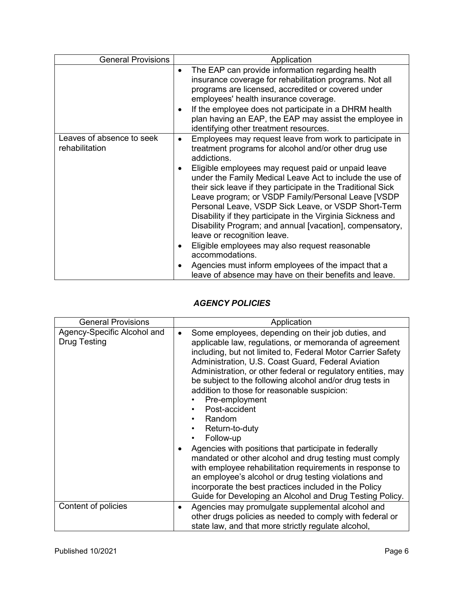| <b>General Provisions</b>                   | Application                                                                                                                                                                                                                                                                                                                                                                                                                                                                                                                                                                                                                                                                                                                                                                                                           |
|---------------------------------------------|-----------------------------------------------------------------------------------------------------------------------------------------------------------------------------------------------------------------------------------------------------------------------------------------------------------------------------------------------------------------------------------------------------------------------------------------------------------------------------------------------------------------------------------------------------------------------------------------------------------------------------------------------------------------------------------------------------------------------------------------------------------------------------------------------------------------------|
|                                             | The EAP can provide information regarding health<br>$\bullet$<br>insurance coverage for rehabilitation programs. Not all<br>programs are licensed, accredited or covered under<br>employees' health insurance coverage.<br>If the employee does not participate in a DHRM health<br>$\bullet$<br>plan having an EAP, the EAP may assist the employee in<br>identifying other treatment resources.                                                                                                                                                                                                                                                                                                                                                                                                                     |
| Leaves of absence to seek<br>rehabilitation | Employees may request leave from work to participate in<br>$\bullet$<br>treatment programs for alcohol and/or other drug use<br>addictions.<br>Eligible employees may request paid or unpaid leave<br>$\bullet$<br>under the Family Medical Leave Act to include the use of<br>their sick leave if they participate in the Traditional Sick<br>Leave program; or VSDP Family/Personal Leave [VSDP<br>Personal Leave, VSDP Sick Leave, or VSDP Short-Term<br>Disability if they participate in the Virginia Sickness and<br>Disability Program; and annual [vacation], compensatory,<br>leave or recognition leave.<br>Eligible employees may also request reasonable<br>$\bullet$<br>accommodations.<br>Agencies must inform employees of the impact that a<br>leave of absence may have on their benefits and leave. |

# *AGENCY POLICIES*

| <b>General Provisions</b>                          | Application                                                                                                                                                                                                                                                                                                                                                                                                                                                                                                                                                                                                                                                                                                                                                                                                                                                       |
|----------------------------------------------------|-------------------------------------------------------------------------------------------------------------------------------------------------------------------------------------------------------------------------------------------------------------------------------------------------------------------------------------------------------------------------------------------------------------------------------------------------------------------------------------------------------------------------------------------------------------------------------------------------------------------------------------------------------------------------------------------------------------------------------------------------------------------------------------------------------------------------------------------------------------------|
| Agency-Specific Alcohol and<br><b>Drug Testing</b> | Some employees, depending on their job duties, and<br>$\bullet$<br>applicable law, regulations, or memoranda of agreement<br>including, but not limited to, Federal Motor Carrier Safety<br>Administration, U.S. Coast Guard, Federal Aviation<br>Administration, or other federal or regulatory entities, may<br>be subject to the following alcohol and/or drug tests in<br>addition to those for reasonable suspicion:<br>Pre-employment<br>Post-accident<br>Random<br>Return-to-duty<br>Follow-up<br>Agencies with positions that participate in federally<br>mandated or other alcohol and drug testing must comply<br>with employee rehabilitation requirements in response to<br>an employee's alcohol or drug testing violations and<br>incorporate the best practices included in the Policy<br>Guide for Developing an Alcohol and Drug Testing Policy. |
| Content of policies                                | Agencies may promulgate supplemental alcohol and<br>$\bullet$<br>other drugs policies as needed to comply with federal or<br>state law, and that more strictly regulate alcohol,                                                                                                                                                                                                                                                                                                                                                                                                                                                                                                                                                                                                                                                                                  |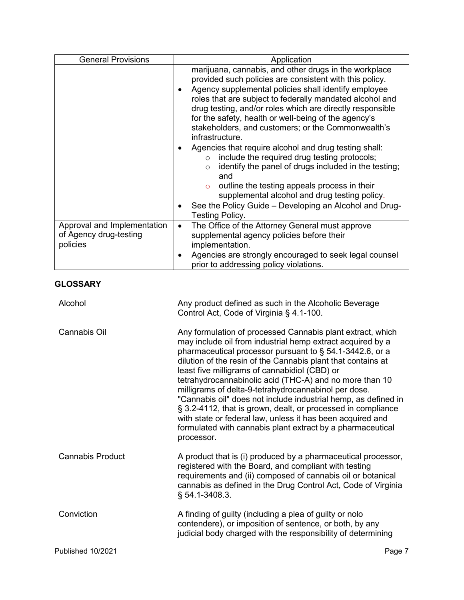| <b>General Provisions</b>                                         | Application                                                                                                                                                                                                                                                                                                                                                                                                                                                                                                                                                                                                                                                                                                                                                                                                                                   |
|-------------------------------------------------------------------|-----------------------------------------------------------------------------------------------------------------------------------------------------------------------------------------------------------------------------------------------------------------------------------------------------------------------------------------------------------------------------------------------------------------------------------------------------------------------------------------------------------------------------------------------------------------------------------------------------------------------------------------------------------------------------------------------------------------------------------------------------------------------------------------------------------------------------------------------|
|                                                                   | marijuana, cannabis, and other drugs in the workplace<br>provided such policies are consistent with this policy.<br>Agency supplemental policies shall identify employee<br>$\bullet$<br>roles that are subject to federally mandated alcohol and<br>drug testing, and/or roles which are directly responsible<br>for the safety, health or well-being of the agency's<br>stakeholders, and customers; or the Commonwealth's<br>infrastructure.<br>Agencies that require alcohol and drug testing shall:<br>$\bullet$<br>include the required drug testing protocols;<br>$\circ$<br>identify the panel of drugs included in the testing;<br>$\circ$<br>and<br>outline the testing appeals process in their<br>$\circ$<br>supplemental alcohol and drug testing policy.<br>See the Policy Guide - Developing an Alcohol and Drug-<br>$\bullet$ |
|                                                                   | Testing Policy.                                                                                                                                                                                                                                                                                                                                                                                                                                                                                                                                                                                                                                                                                                                                                                                                                               |
| Approval and Implementation<br>of Agency drug-testing<br>policies | The Office of the Attorney General must approve<br>$\bullet$<br>supplemental agency policies before their<br>implementation.<br>Agencies are strongly encouraged to seek legal counsel<br>$\bullet$<br>prior to addressing policy violations.                                                                                                                                                                                                                                                                                                                                                                                                                                                                                                                                                                                                 |
| <b>GLOSSARY</b>                                                   |                                                                                                                                                                                                                                                                                                                                                                                                                                                                                                                                                                                                                                                                                                                                                                                                                                               |
| Alcohol                                                           | Any product defined as such in the Alcoholic Beverage<br>Control Act, Code of Virginia § 4.1-100.                                                                                                                                                                                                                                                                                                                                                                                                                                                                                                                                                                                                                                                                                                                                             |
| <b>Cannabis Oil</b>                                               | Any formulation of processed Cannabis plant extract, which<br>may include oil from industrial hemp extract acquired by a<br>pharmaceutical processor pursuant to § 54.1-3442.6, or a<br>dilution of the resin of the Cannabis plant that contains at<br>least five milligrams of cannabidiol (CBD) or<br>tetrahydrocannabinolic acid (THC-A) and no more than 10<br>milligrams of delta-9-tetrahydrocannabinol per dose.<br>"Cannabis oil" does not include industrial hemp, as defined in<br>§ 3.2-4112, that is grown, dealt, or processed in compliance<br>with state or federal law, unless it has been acquired and<br>formulated with cannabis plant extract by a pharmaceutical<br>processor.                                                                                                                                          |
| <b>Cannabis Product</b>                                           | A product that is (i) produced by a pharmaceutical processor,<br>registered with the Board, and compliant with testing<br>requirements and (ii) composed of cannabis oil or botanical<br>cannabis as defined in the Drug Control Act, Code of Virginia<br>$§ 54.1 - 3408.3.$                                                                                                                                                                                                                                                                                                                                                                                                                                                                                                                                                                  |
| Conviction                                                        | A finding of guilty (including a plea of guilty or nolo<br>contendere), or imposition of sentence, or both, by any<br>judicial body charged with the responsibility of determining                                                                                                                                                                                                                                                                                                                                                                                                                                                                                                                                                                                                                                                            |
| Published 10/2021                                                 | Page 7                                                                                                                                                                                                                                                                                                                                                                                                                                                                                                                                                                                                                                                                                                                                                                                                                                        |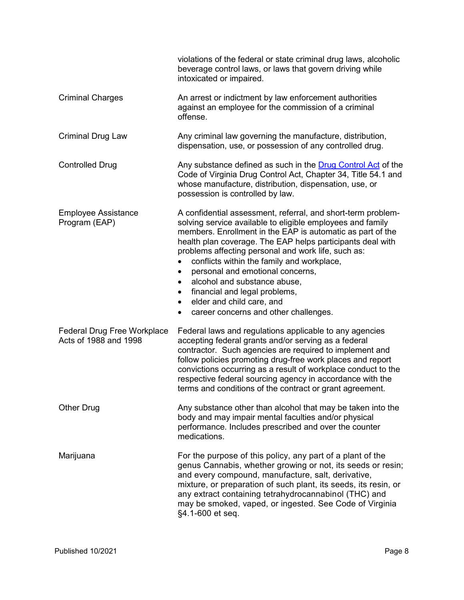|                                                             | violations of the federal or state criminal drug laws, alcoholic<br>beverage control laws, or laws that govern driving while<br>intoxicated or impaired.                                                                                                                                                                                                                                                                                                                                                                                                                   |
|-------------------------------------------------------------|----------------------------------------------------------------------------------------------------------------------------------------------------------------------------------------------------------------------------------------------------------------------------------------------------------------------------------------------------------------------------------------------------------------------------------------------------------------------------------------------------------------------------------------------------------------------------|
| <b>Criminal Charges</b>                                     | An arrest or indictment by law enforcement authorities<br>against an employee for the commission of a criminal<br>offense.                                                                                                                                                                                                                                                                                                                                                                                                                                                 |
| <b>Criminal Drug Law</b>                                    | Any criminal law governing the manufacture, distribution,<br>dispensation, use, or possession of any controlled drug.                                                                                                                                                                                                                                                                                                                                                                                                                                                      |
| <b>Controlled Drug</b>                                      | Any substance defined as such in the Drug Control Act of the<br>Code of Virginia Drug Control Act, Chapter 34, Title 54.1 and<br>whose manufacture, distribution, dispensation, use, or<br>possession is controlled by law.                                                                                                                                                                                                                                                                                                                                                |
| <b>Employee Assistance</b><br>Program (EAP)                 | A confidential assessment, referral, and short-term problem-<br>solving service available to eligible employees and family<br>members. Enrollment in the EAP is automatic as part of the<br>health plan coverage. The EAP helps participants deal with<br>problems affecting personal and work life, such as:<br>conflicts within the family and workplace,<br>personal and emotional concerns,<br>$\bullet$<br>alcohol and substance abuse,<br>٠<br>financial and legal problems,<br>٠<br>elder and child care, and<br>$\bullet$<br>career concerns and other challenges. |
| <b>Federal Drug Free Workplace</b><br>Acts of 1988 and 1998 | Federal laws and regulations applicable to any agencies<br>accepting federal grants and/or serving as a federal<br>contractor. Such agencies are required to implement and<br>follow policies promoting drug-free work places and report<br>convictions occurring as a result of workplace conduct to the<br>respective federal sourcing agency in accordance with the<br>terms and conditions of the contract or grant agreement.                                                                                                                                         |
| <b>Other Drug</b>                                           | Any substance other than alcohol that may be taken into the<br>body and may impair mental faculties and/or physical<br>performance. Includes prescribed and over the counter<br>medications.                                                                                                                                                                                                                                                                                                                                                                               |
| Marijuana                                                   | For the purpose of this policy, any part of a plant of the<br>genus Cannabis, whether growing or not, its seeds or resin;<br>and every compound, manufacture, salt, derivative,<br>mixture, or preparation of such plant, its seeds, its resin, or<br>any extract containing tetrahydrocannabinol (THC) and<br>may be smoked, vaped, or ingested. See Code of Virginia<br>§4.1-600 et seq.                                                                                                                                                                                 |